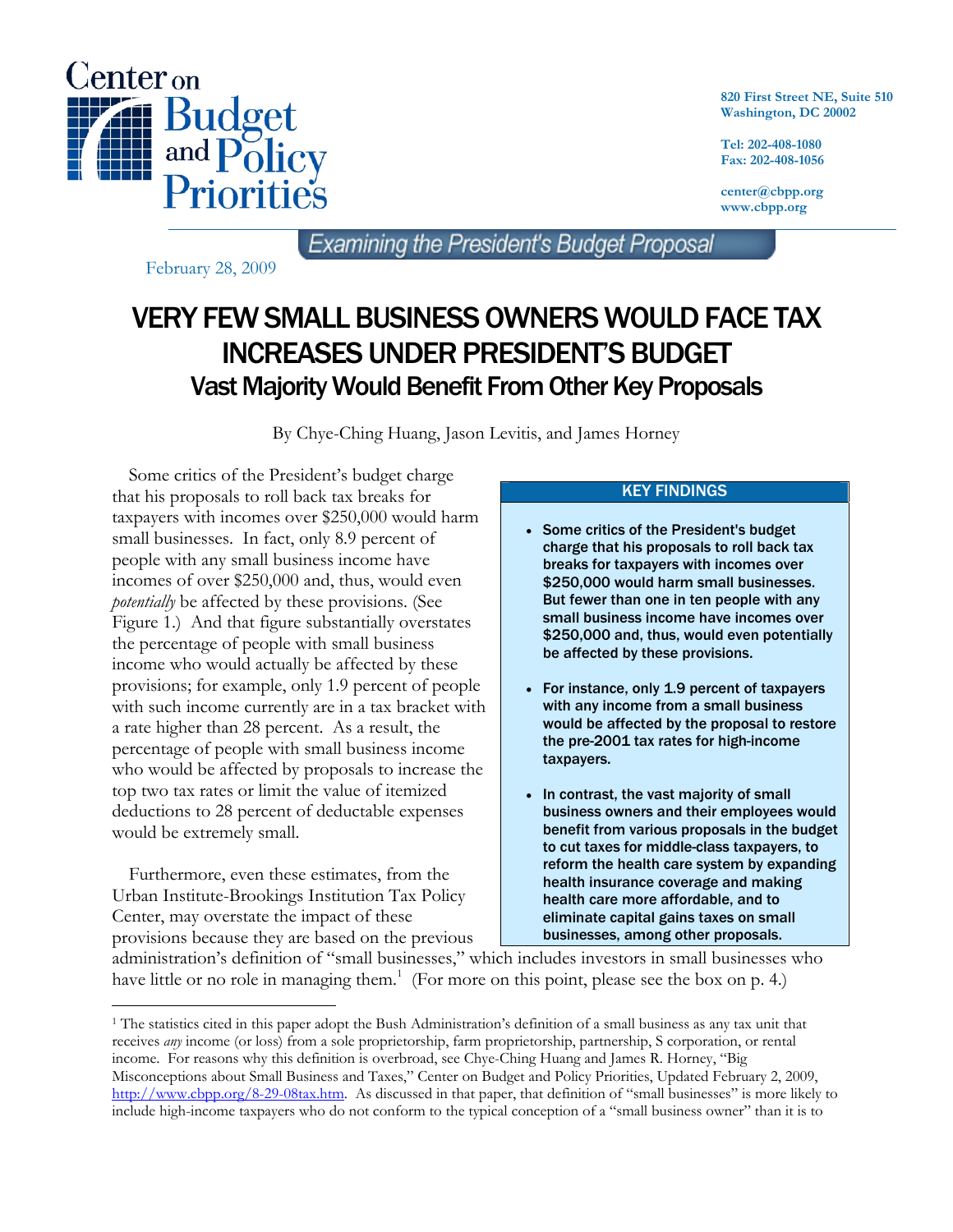

**820 First Street NE, Suite 510 Washington, DC 20002** 

**Tel: 202-408-1080 Fax: 202-408-1056** 

**center@cbpp.org www.cbpp.org** 

Examining the President's Budget Proposal

February 28, 2009

# VERY FEW SMALL BUSINESS OWNERS WOULD FACE TAX INCREASES UNDER PRESIDENT'S BUDGET Vast Majority Would Benefit From Other Key Proposals

By Chye-Ching Huang, Jason Levitis, and James Horney

 Some critics of the President's budget charge that his proposals to roll back tax breaks for taxpayers with incomes over \$250,000 would harm small businesses. In fact, only 8.9 percent of people with any small business income have incomes of over \$250,000 and, thus, would even *potentially* be affected by these provisions. (See Figure 1.) And that figure substantially overstates the percentage of people with small business income who would actually be affected by these provisions; for example, only 1.9 percent of people with such income currently are in a tax bracket with a rate higher than 28 percent. As a result, the percentage of people with small business income who would be affected by proposals to increase the top two tax rates or limit the value of itemized deductions to 28 percent of deductable expenses would be extremely small.

 Furthermore, even these estimates, from the Urban Institute-Brookings Institution Tax Policy Center, may overstate the impact of these provisions because they are based on the previous

-

## KEY FINDINGS

- Some critics of the President's budget charge that his proposals to roll back tax breaks for taxpayers with incomes over \$250,000 would harm small businesses. But fewer than one in ten people with any small business income have incomes over \$250,000 and, thus, would even potentially be affected by these provisions.
- For instance, only 1.9 percent of taxpayers with any income from a small business would be affected by the proposal to restore the pre-2001 tax rates for high-income taxpayers.
- In contrast, the vast majority of small business owners and their employees would benefit from various proposals in the budget to cut taxes for middle-class taxpayers, to reform the health care system by expanding health insurance coverage and making health care more affordable, and to eliminate capital gains taxes on small businesses, among other proposals.

administration's definition of "small businesses," which includes investors in small businesses who have little or no role in managing them.<sup>1</sup> (For more on this point, please see the box on p. 4.)

<sup>&</sup>lt;sup>1</sup> The statistics cited in this paper adopt the Bush Administration's definition of a small business as any tax unit that receives *any* income (or loss) from a sole proprietorship, farm proprietorship, partnership, S corporation, or rental income. For reasons why this definition is overbroad, see Chye-Ching Huang and James R. Horney, "Big Misconceptions about Small Business and Taxes," Center on Budget and Policy Priorities, Updated February 2, 2009, http://www.cbpp.org/8-29-08tax.htm. As discussed in that paper, that definition of "small businesses" is more likely to include high-income taxpayers who do not conform to the typical conception of a "small business owner" than it is to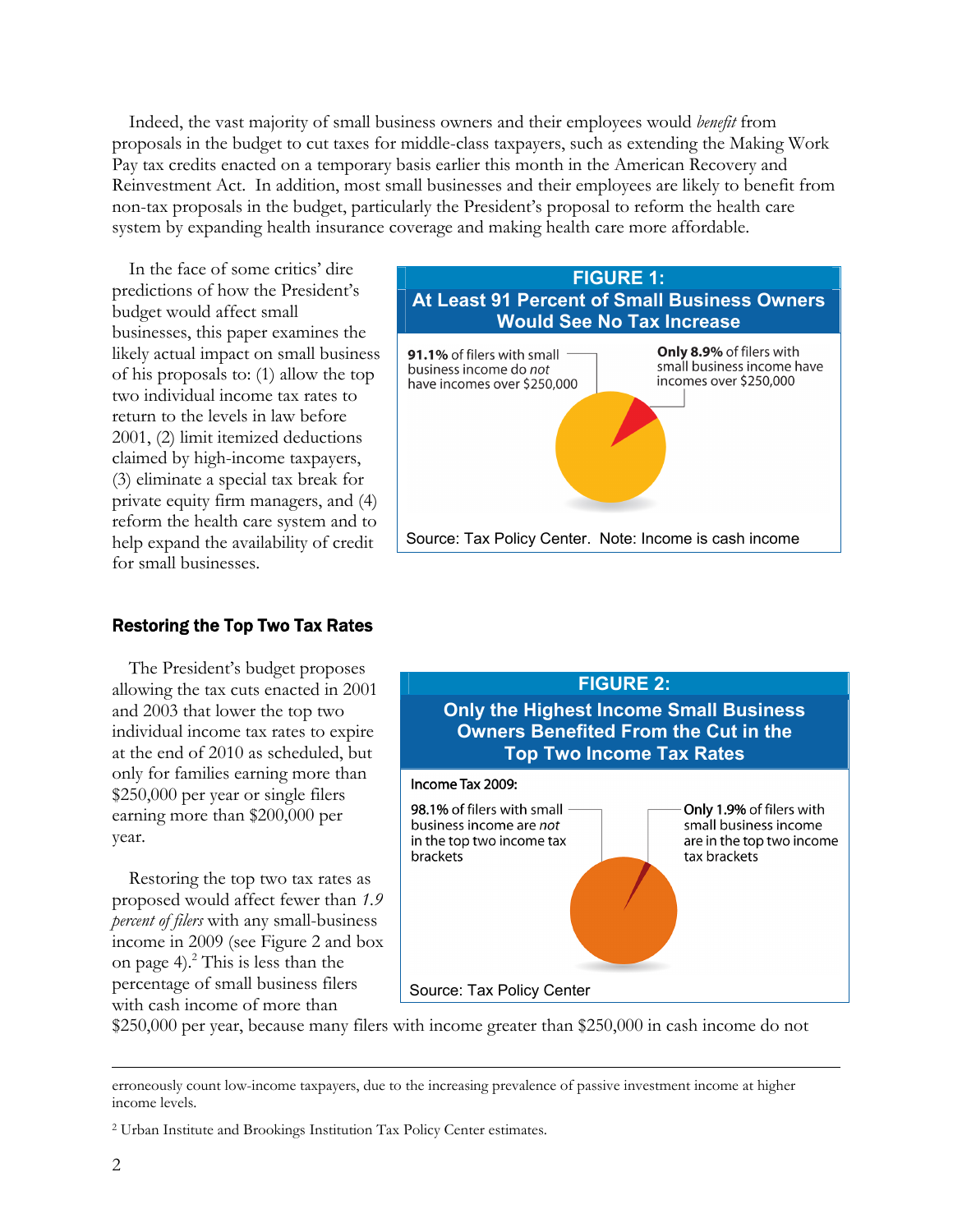Indeed, the vast majority of small business owners and their employees would *benefit* from proposals in the budget to cut taxes for middle-class taxpayers, such as extending the Making Work Pay tax credits enacted on a temporary basis earlier this month in the American Recovery and Reinvestment Act. In addition, most small businesses and their employees are likely to benefit from non-tax proposals in the budget, particularly the President's proposal to reform the health care system by expanding health insurance coverage and making health care more affordable.

 In the face of some critics' dire predictions of how the President's budget would affect small businesses, this paper examines the likely actual impact on small business of his proposals to: (1) allow the top two individual income tax rates to return to the levels in law before 2001, (2) limit itemized deductions claimed by high-income taxpayers, (3) eliminate a special tax break for private equity firm managers, and (4) reform the health care system and to help expand the availability of credit for small businesses.

#### Restoring the Top Two Tax Rates

 The President's budget proposes allowing the tax cuts enacted in 2001 and 2003 that lower the top two individual income tax rates to expire at the end of 2010 as scheduled, but only for families earning more than \$250,000 per year or single filers earning more than \$200,000 per year.

 Restoring the top two tax rates as proposed would affect fewer than *1.9 percent of filers* with any small-business income in 2009 (see Figure 2 and box on page 4). $^{2}$  This is less than the percentage of small business filers with cash income of more than





\$250,000 per year, because many filers with income greater than \$250,000 in cash income do not

erroneously count low-income taxpayers, due to the increasing prevalence of passive investment income at higher income levels.

<sup>2</sup> Urban Institute and Brookings Institution Tax Policy Center estimates.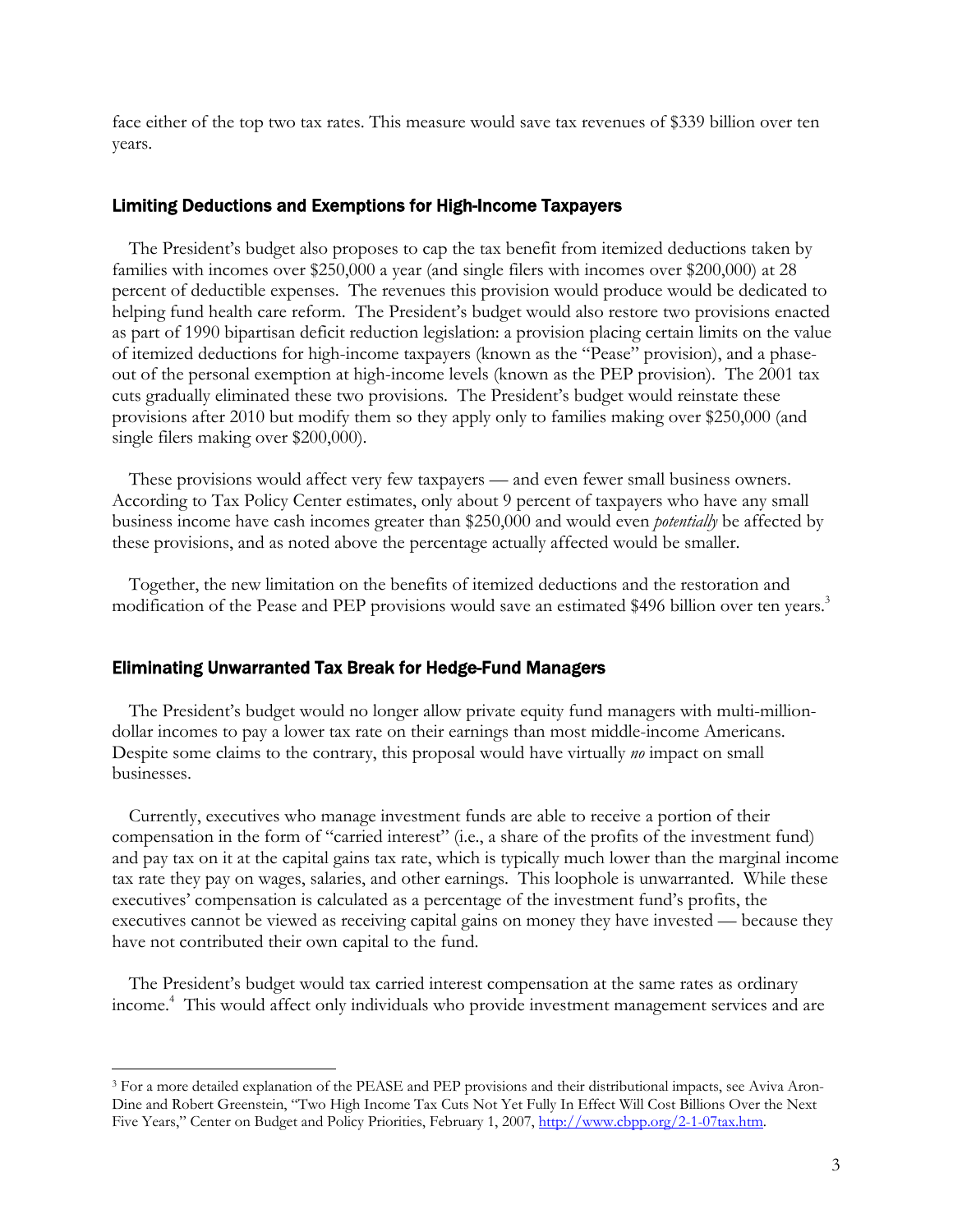face either of the top two tax rates. This measure would save tax revenues of \$339 billion over ten years.

#### Limiting Deductions and Exemptions for High-Income Taxpayers

 The President's budget also proposes to cap the tax benefit from itemized deductions taken by families with incomes over \$250,000 a year (and single filers with incomes over \$200,000) at 28 percent of deductible expenses. The revenues this provision would produce would be dedicated to helping fund health care reform. The President's budget would also restore two provisions enacted as part of 1990 bipartisan deficit reduction legislation: a provision placing certain limits on the value of itemized deductions for high-income taxpayers (known as the "Pease" provision), and a phaseout of the personal exemption at high-income levels (known as the PEP provision). The 2001 tax cuts gradually eliminated these two provisions. The President's budget would reinstate these provisions after 2010 but modify them so they apply only to families making over \$250,000 (and single filers making over \$200,000).

 These provisions would affect very few taxpayers — and even fewer small business owners. According to Tax Policy Center estimates, only about 9 percent of taxpayers who have any small business income have cash incomes greater than \$250,000 and would even *potentially* be affected by these provisions, and as noted above the percentage actually affected would be smaller.

 Together, the new limitation on the benefits of itemized deductions and the restoration and modification of the Pease and PEP provisions would save an estimated \$496 billion over ten years.<sup>3</sup>

#### Eliminating Unwarranted Tax Break for Hedge-Fund Managers

 $\overline{a}$ 

 The President's budget would no longer allow private equity fund managers with multi-milliondollar incomes to pay a lower tax rate on their earnings than most middle-income Americans. Despite some claims to the contrary, this proposal would have virtually *no* impact on small businesses.

 Currently, executives who manage investment funds are able to receive a portion of their compensation in the form of "carried interest" (i.e., a share of the profits of the investment fund) and pay tax on it at the capital gains tax rate, which is typically much lower than the marginal income tax rate they pay on wages, salaries, and other earnings. This loophole is unwarranted. While these executives' compensation is calculated as a percentage of the investment fund's profits, the executives cannot be viewed as receiving capital gains on money they have invested — because they have not contributed their own capital to the fund.

 The President's budget would tax carried interest compensation at the same rates as ordinary income.4 This would affect only individuals who provide investment management services and are

<sup>3</sup> For a more detailed explanation of the PEASE and PEP provisions and their distributional impacts, see Aviva Aron-Dine and Robert Greenstein, "Two High Income Tax Cuts Not Yet Fully In Effect Will Cost Billions Over the Next Five Years," Center on Budget and Policy Priorities, February 1, 2007, http://www.cbpp.org/2-1-07tax.htm.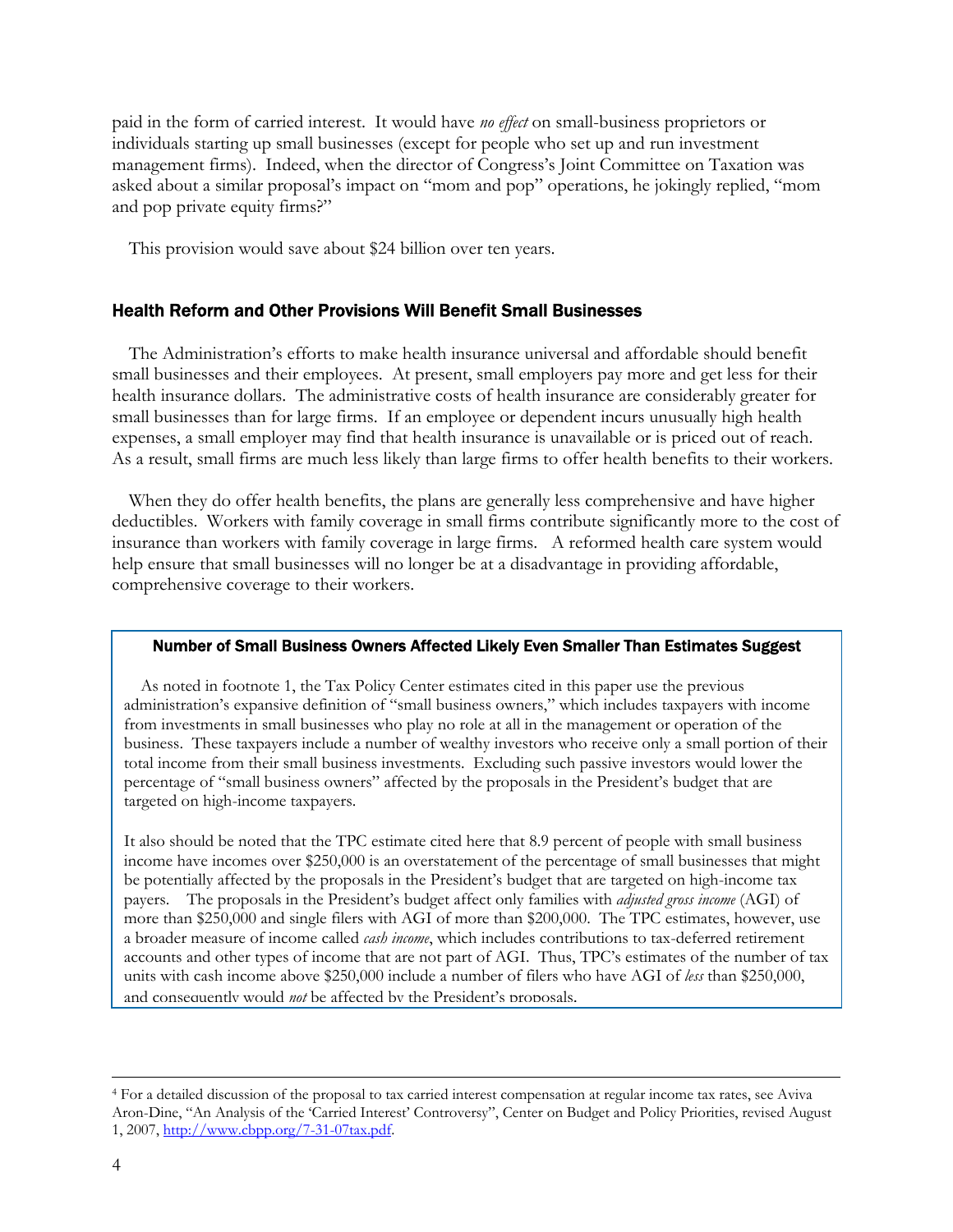paid in the form of carried interest. It would have *no effect* on small-business proprietors or individuals starting up small businesses (except for people who set up and run investment management firms). Indeed, when the director of Congress's Joint Committee on Taxation was asked about a similar proposal's impact on "mom and pop" operations, he jokingly replied, "mom and pop private equity firms?"

This provision would save about \$24 billion over ten years.

### Health Reform and Other Provisions Will Benefit Small Businesses

 The Administration's efforts to make health insurance universal and affordable should benefit small businesses and their employees. At present, small employers pay more and get less for their health insurance dollars. The administrative costs of health insurance are considerably greater for small businesses than for large firms. If an employee or dependent incurs unusually high health expenses, a small employer may find that health insurance is unavailable or is priced out of reach. As a result, small firms are much less likely than large firms to offer health benefits to their workers.

 When they do offer health benefits, the plans are generally less comprehensive and have higher deductibles. Workers with family coverage in small firms contribute significantly more to the cost of insurance than workers with family coverage in large firms. A reformed health care system would help ensure that small businesses will no longer be at a disadvantage in providing affordable, comprehensive coverage to their workers.

#### Number of Small Business Owners Affected Likely Even Smaller Than Estimates Suggest

 As noted in footnote 1, the Tax Policy Center estimates cited in this paper use the previous administration's expansive definition of "small business owners," which includes taxpayers with income from investments in small businesses who play no role at all in the management or operation of the business. These taxpayers include a number of wealthy investors who receive only a small portion of their total income from their small business investments. Excluding such passive investors would lower the percentage of "small business owners" affected by the proposals in the President's budget that are targeted on high-income taxpayers.

It also should be noted that the TPC estimate cited here that 8.9 percent of people with small business income have incomes over \$250,000 is an overstatement of the percentage of small businesses that might be potentially affected by the proposals in the President's budget that are targeted on high-income tax payers. The proposals in the President's budget affect only families with *adjusted gross income* (AGI) of more than \$250,000 and single filers with AGI of more than \$200,000. The TPC estimates, however, use a broader measure of income called *cash income*, which includes contributions to tax-deferred retirement accounts and other types of income that are not part of AGI. Thus, TPC's estimates of the number of tax units with cash income above \$250,000 include a number of filers who have AGI of *less* than \$250,000, and consequently would *not* be affected by the President's proposals.

 <sup>4</sup> For a detailed discussion of the proposal to tax carried interest compensation at regular income tax rates, see Aviva Aron-Dine, "An Analysis of the 'Carried Interest' Controversy", Center on Budget and Policy Priorities, revised August 1, 2007, http://www.cbpp.org/7-31-07tax.pdf.